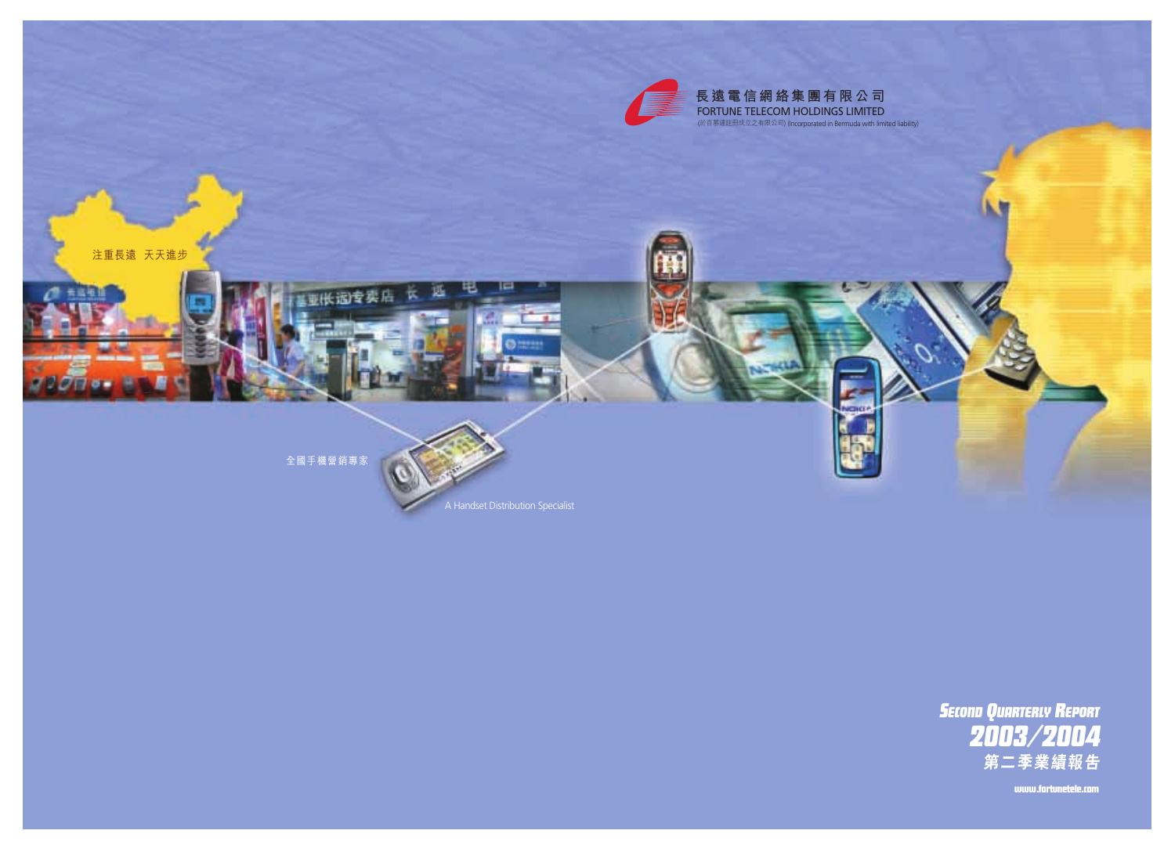

## **長遠電信網絡集團有限公司** FORTUNE TELECOM HOLDINGS LIMITED

(於百慕達註冊成立之有限公司) (Incorporated in Bermuda with limited liability)





www.fortunetele.com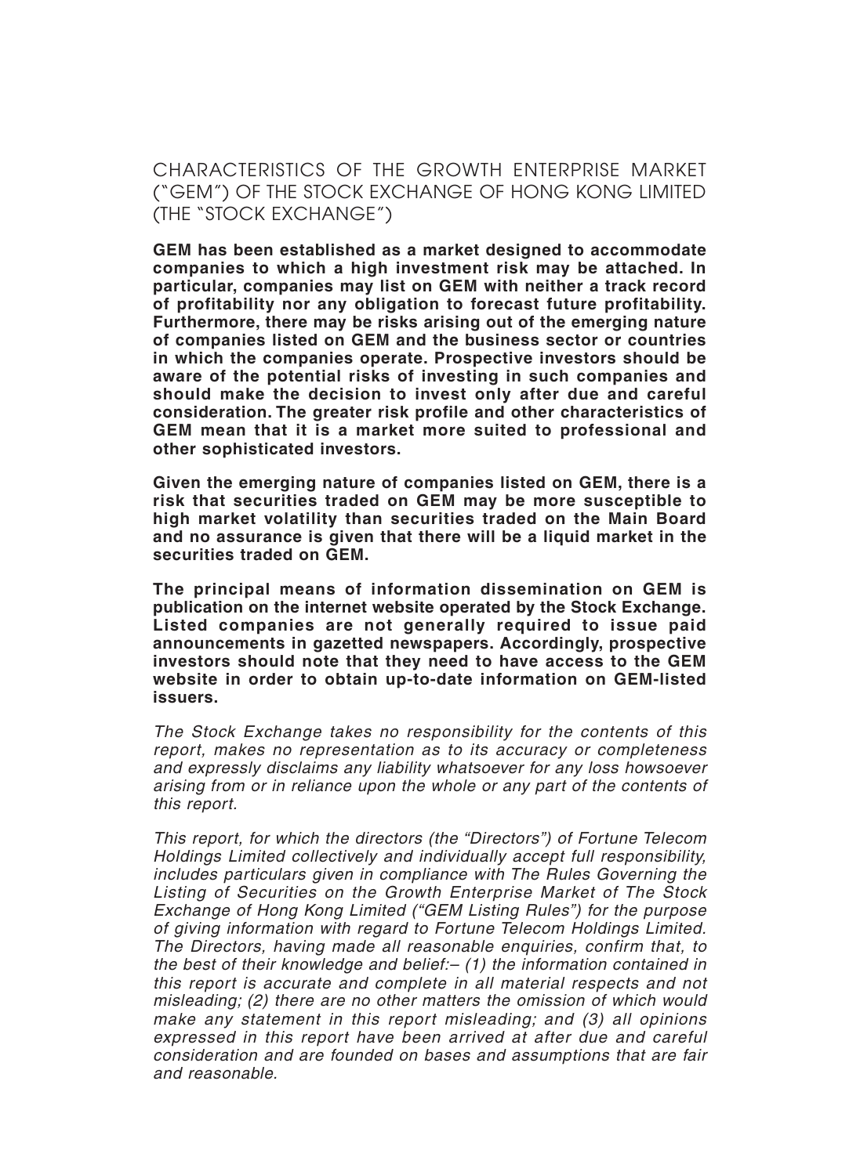## CHARACTERISTICS OF THE GROWTH ENTERPRISE MARKET ("GEM") OF THE STOCK EXCHANGE OF HONG KONG LIMITED (THE "STOCK EXCHANGE")

**GEM has been established as a market designed to accommodate companies to which a high investment risk may be attached. In particular, companies may list on GEM with neither a track record of profitability nor any obligation to forecast future profitability. Furthermore, there may be risks arising out of the emerging nature of companies listed on GEM and the business sector or countries in which the companies operate. Prospective investors should be aware of the potential risks of investing in such companies and should make the decision to invest only after due and careful consideration. The greater risk profile and other characteristics of GEM mean that it is a market more suited to professional and other sophisticated investors.**

**Given the emerging nature of companies listed on GEM, there is a risk that securities traded on GEM may be more susceptible to high market volatility than securities traded on the Main Board and no assurance is given that there will be a liquid market in the securities traded on GEM.**

**The principal means of information dissemination on GEM is publication on the internet website operated by the Stock Exchange. Listed companies are not generally required to issue paid announcements in gazetted newspapers. Accordingly, prospective investors should note that they need to have access to the GEM website in order to obtain up-to-date information on GEM-listed issuers.**

The Stock Exchange takes no responsibility for the contents of this report, makes no representation as to its accuracy or completeness and expressly disclaims any liability whatsoever for any loss howsoever arising from or in reliance upon the whole or any part of the contents of this report.

This report, for which the directors (the "Directors") of Fortune Telecom Holdings Limited collectively and individually accept full responsibility, includes particulars given in compliance with The Rules Governing the Listing of Securities on the Growth Enterprise Market of The Stock Exchange of Hong Kong Limited ("GEM Listing Rules") for the purpose of giving information with regard to Fortune Telecom Holdings Limited. The Directors, having made all reasonable enquiries, confirm that, to the best of their knowledge and belief:– (1) the information contained in this report is accurate and complete in all material respects and not misleading; (2) there are no other matters the omission of which would make any statement in this report misleading; and (3) all opinions expressed in this report have been arrived at after due and careful consideration and are founded on bases and assumptions that are fair and reasonable.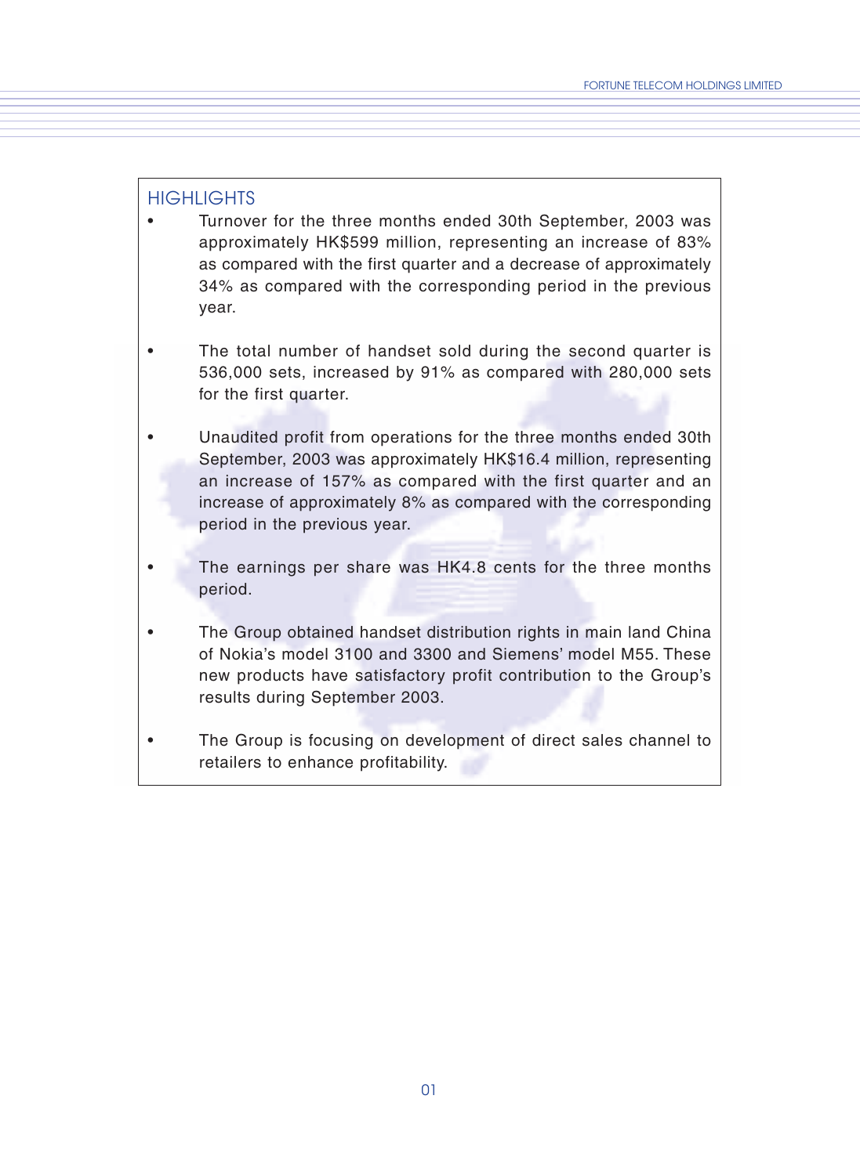### HIGHLIGHTS

- Turnover for the three months ended 30th September, 2003 was approximately HK\$599 million, representing an increase of 83% as compared with the first quarter and a decrease of approximately 34% as compared with the corresponding period in the previous year.
- The total number of handset sold during the second quarter is 536,000 sets, increased by 91% as compared with 280,000 sets for the first quarter.
- Unaudited profit from operations for the three months ended 30th September, 2003 was approximately HK\$16.4 million, representing an increase of 157% as compared with the first quarter and an increase of approximately 8% as compared with the corresponding period in the previous year.
- The earnings per share was HK4.8 cents for the three months period.
- The Group obtained handset distribution rights in main land China of Nokia's model 3100 and 3300 and Siemens' model M55. These new products have satisfactory profit contribution to the Group's results during September 2003.
- The Group is focusing on development of direct sales channel to retailers to enhance profitability.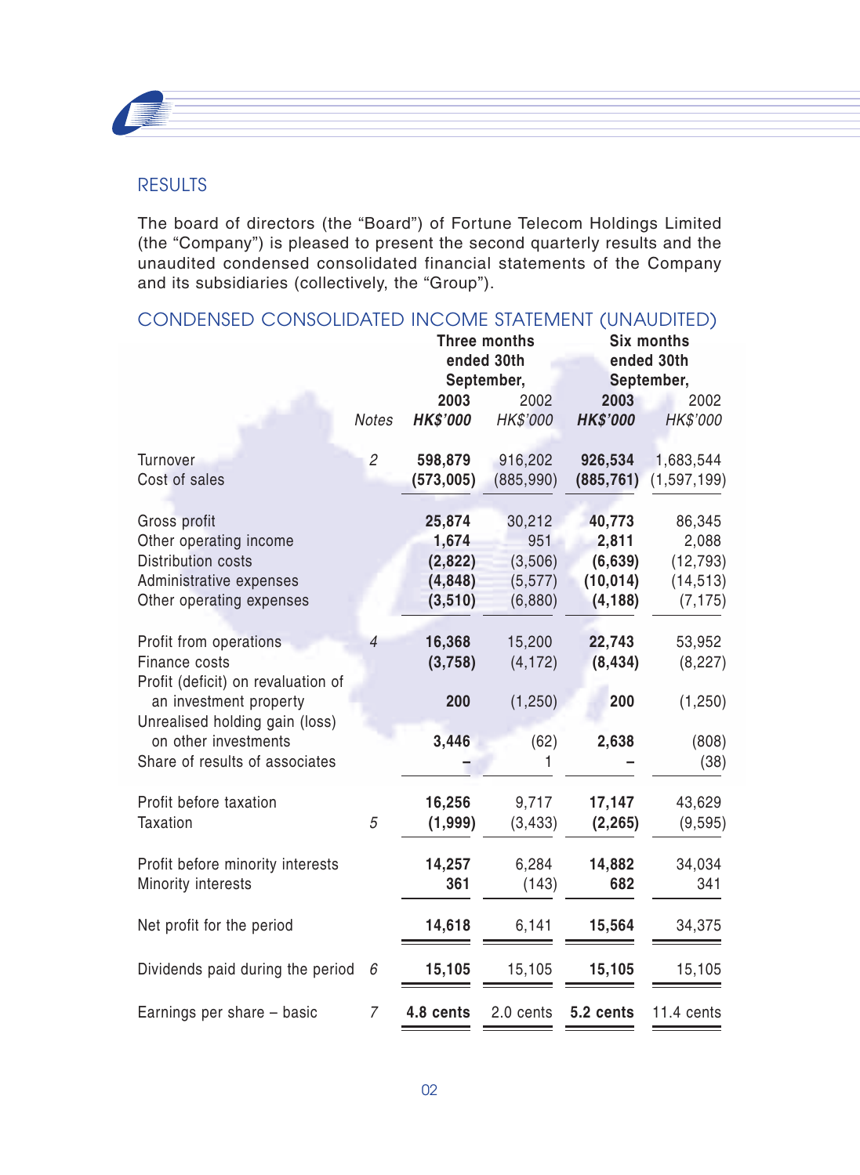

## **RESULTS**

The board of directors (the "Board") of Fortune Telecom Holdings Limited (the "Company") is pleased to present the second quarterly results and the unaudited condensed consolidated financial statements of the Company and its subsidiaries (collectively, the "Group").

# CONDENSED CONSOLIDATED INCOME STATEMENT (UNAUDITED)

|                                                                                                                                           |                |                                                  | Three months<br>ended 30th<br>September,        |                                                     | Six months<br>ended 30th<br>September,                |
|-------------------------------------------------------------------------------------------------------------------------------------------|----------------|--------------------------------------------------|-------------------------------------------------|-----------------------------------------------------|-------------------------------------------------------|
|                                                                                                                                           | Notes          | 2003<br><b>HK\$'000</b>                          | 2002<br>HK\$'000                                | 2003<br><b>HK\$'000</b>                             | 2002<br>HK\$'000                                      |
| Turnover<br>Cost of sales                                                                                                                 | $\overline{2}$ | 598,879<br>(573,005)                             | 916,202<br>(885, 990)                           | 926,534<br>(885, 761)                               | 1,683,544<br>(1, 597, 199)                            |
| Gross profit<br>Other operating income<br>Distribution costs<br>Administrative expenses<br>Other operating expenses                       |                | 25,874<br>1,674<br>(2,822)<br>(4,848)<br>(3,510) | 30,212<br>951<br>(3,506)<br>(5, 577)<br>(6,880) | 40,773<br>2,811<br>(6,639)<br>(10, 014)<br>(4, 188) | 86,345<br>2,088<br>(12, 793)<br>(14, 513)<br>(7, 175) |
| Profit from operations<br>Finance costs<br>Profit (deficit) on revaluation of<br>an investment property<br>Unrealised holding gain (loss) | $\overline{4}$ | 16,368<br>(3,758)<br>200                         | 15,200<br>(4, 172)<br>(1, 250)                  | 22,743<br>(8, 434)<br>200                           | 53,952<br>(8, 227)<br>(1,250)                         |
| on other investments<br>Share of results of associates                                                                                    |                | 3,446                                            | (62)<br>1                                       | 2,638                                               | (808)<br>(38)                                         |
| Profit before taxation<br>Taxation                                                                                                        | 5              | 16,256<br>(1,999)                                | 9,717<br>(3, 433)                               | 17,147<br>(2, 265)                                  | 43,629<br>(9, 595)                                    |
| Profit before minority interests<br>Minority interests                                                                                    |                | 14,257<br>361                                    | 6,284<br>(143)                                  | 14,882<br>682                                       | 34,034<br>341                                         |
| Net profit for the period                                                                                                                 |                | 14,618                                           | 6,141                                           | 15,564                                              | 34,375                                                |
| Dividends paid during the period                                                                                                          | 6              | 15,105                                           | 15,105                                          | 15,105                                              | 15,105                                                |
| Earnings per share - basic                                                                                                                | 7              | 4.8 cents                                        | 2.0 cents                                       | 5.2 cents                                           | 11.4 cents                                            |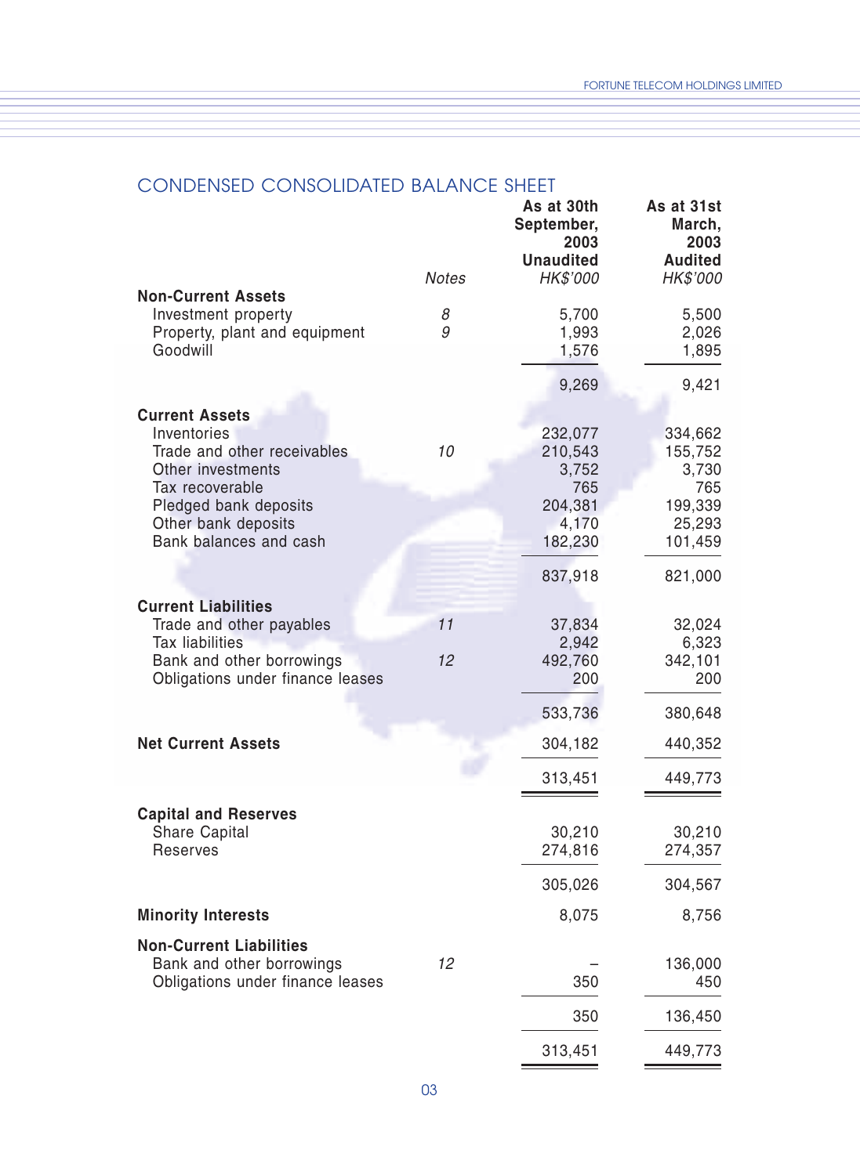## CONDENSED CONSOLIDATED BALANCE SHEET

|                                                  |              | As at 30th<br>September,<br>2003<br><b>Unaudited</b> | As at 31st<br>March,<br>2003<br><b>Audited</b> |
|--------------------------------------------------|--------------|------------------------------------------------------|------------------------------------------------|
|                                                  | <b>Notes</b> | HK\$'000                                             | HK\$'000                                       |
| <b>Non-Current Assets</b><br>Investment property | 8            | 5,700                                                | 5,500                                          |
| Property, plant and equipment                    | 9            | 1,993                                                | 2,026                                          |
| Goodwill                                         |              | 1,576                                                | 1,895                                          |
|                                                  |              | 9,269                                                | 9,421                                          |
| <b>Current Assets</b>                            |              |                                                      |                                                |
| Inventories                                      |              | 232,077                                              | 334,662                                        |
| Trade and other receivables                      | 10           | 210,543                                              | 155,752                                        |
| Other investments                                |              | 3,752                                                | 3,730                                          |
| Tax recoverable<br>Pledged bank deposits         |              | 765<br>204,381                                       | 765<br>199,339                                 |
| Other bank deposits                              |              | 4,170                                                | 25,293                                         |
| Bank balances and cash                           |              | 182,230                                              | 101,459                                        |
|                                                  |              | 837,918                                              | 821,000                                        |
| <b>Current Liabilities</b>                       |              |                                                      |                                                |
| Trade and other payables                         | 11           | 37,834                                               | 32,024                                         |
| <b>Tax liabilities</b>                           |              | 2,942                                                | 6,323                                          |
| Bank and other borrowings                        | 12           | 492,760                                              | 342,101<br>200                                 |
| Obligations under finance leases                 |              | 200                                                  |                                                |
|                                                  |              | 533,736                                              | 380,648                                        |
| <b>Net Current Assets</b>                        |              | 304,182                                              | 440,352                                        |
|                                                  |              | 313,451                                              | 449,773                                        |
| <b>Capital and Reserves</b>                      |              |                                                      |                                                |
| Share Capital                                    |              | 30,210                                               | 30,210                                         |
| Reserves                                         |              | 274,816                                              | 274,357                                        |
|                                                  |              | 305,026                                              | 304,567                                        |
| <b>Minority Interests</b>                        |              | 8,075                                                | 8,756                                          |
| <b>Non-Current Liabilities</b>                   |              |                                                      |                                                |
| Bank and other borrowings                        | 12           |                                                      | 136,000                                        |
| Obligations under finance leases                 |              | 350                                                  | 450                                            |
|                                                  |              | 350                                                  | 136,450                                        |
|                                                  |              | 313,451                                              | 449,773                                        |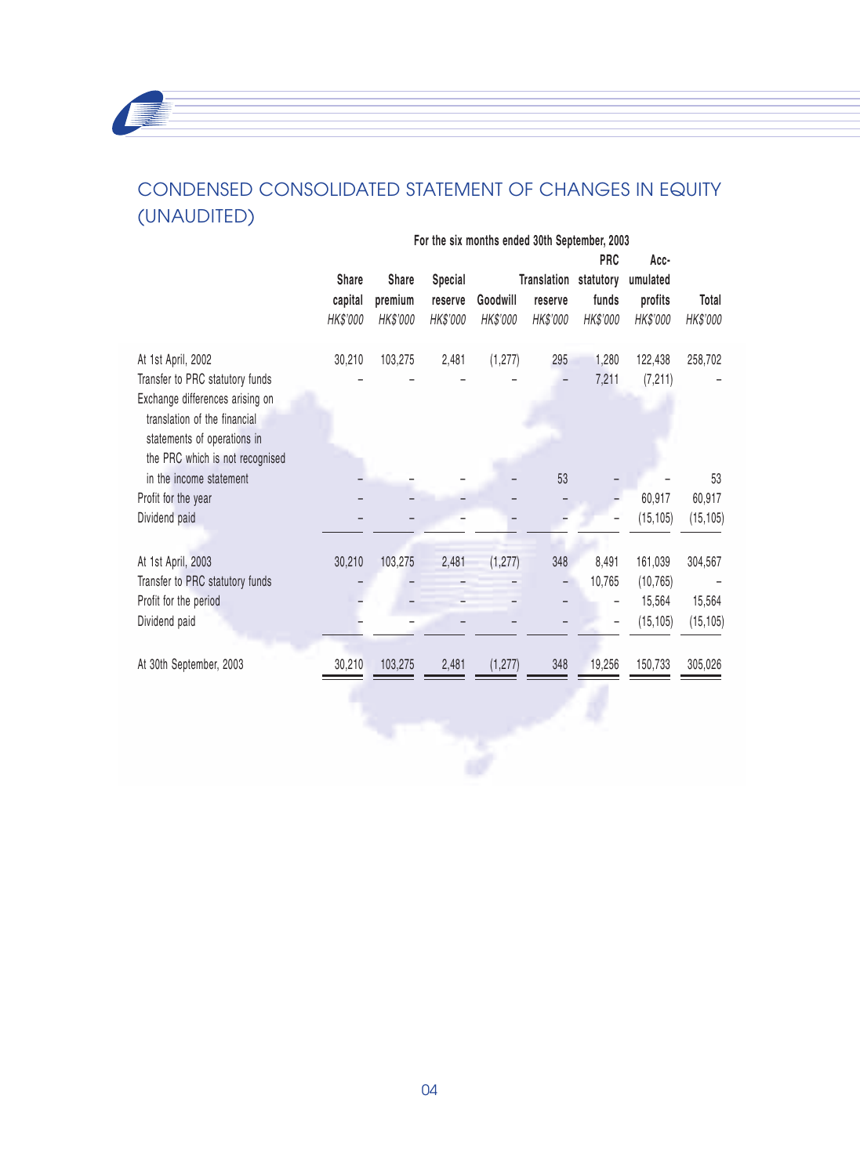## CONDENSED CONSOLIDATED STATEMENT OF CHANGES IN EQUITY (UNAUDITED)

|                                                                                                                                                                                            | For the six months ended 30th September, 2003 |                              |                                |                      |                                              |                                 |                                             |                                |
|--------------------------------------------------------------------------------------------------------------------------------------------------------------------------------------------|-----------------------------------------------|------------------------------|--------------------------------|----------------------|----------------------------------------------|---------------------------------|---------------------------------------------|--------------------------------|
|                                                                                                                                                                                            | Share<br>capital<br>HK\$'000                  | Share<br>premium<br>HK\$'000 | Special<br>reserve<br>HK\$'000 | Goodwill<br>HK\$'000 | Translation statutory<br>reserve<br>HK\$'000 | <b>PRC</b><br>funds<br>HK\$'000 | Acc-<br>umulated<br>profits<br>HK\$'000     | Total<br>HK\$'000              |
| At 1st April, 2002<br>Transfer to PRC statutory funds<br>Exchange differences arising on<br>translation of the financial<br>statements of operations in<br>the PRC which is not recognised | 30,210                                        | 103,275                      | 2,481                          | (1, 277)             | 295                                          | 1,280<br>7,211                  | 122,438<br>(7, 211)                         | 258,702                        |
| in the income statement                                                                                                                                                                    |                                               |                              |                                |                      | 53                                           |                                 |                                             | 53                             |
| Profit for the year                                                                                                                                                                        |                                               |                              |                                |                      |                                              |                                 | 60,917                                      | 60,917                         |
| Dividend paid                                                                                                                                                                              |                                               |                              |                                |                      |                                              |                                 | (15, 105)                                   | (15, 105)                      |
| At 1st April, 2003<br>Transfer to PRC statutory funds<br>Profit for the period<br>Dividend paid                                                                                            | 30,210                                        | 103,275                      | 2,481<br>۳                     | (1, 277)             | 348<br>$\overline{\phantom{0}}$              | 8,491<br>10,765                 | 161,039<br>(10, 765)<br>15,564<br>(15, 105) | 304,567<br>15,564<br>(15, 105) |
| At 30th September, 2003                                                                                                                                                                    | 30,210                                        | 103,275                      | 2,481                          | (1, 277)             | 348                                          | 19,256                          | 150,733                                     | 305,026                        |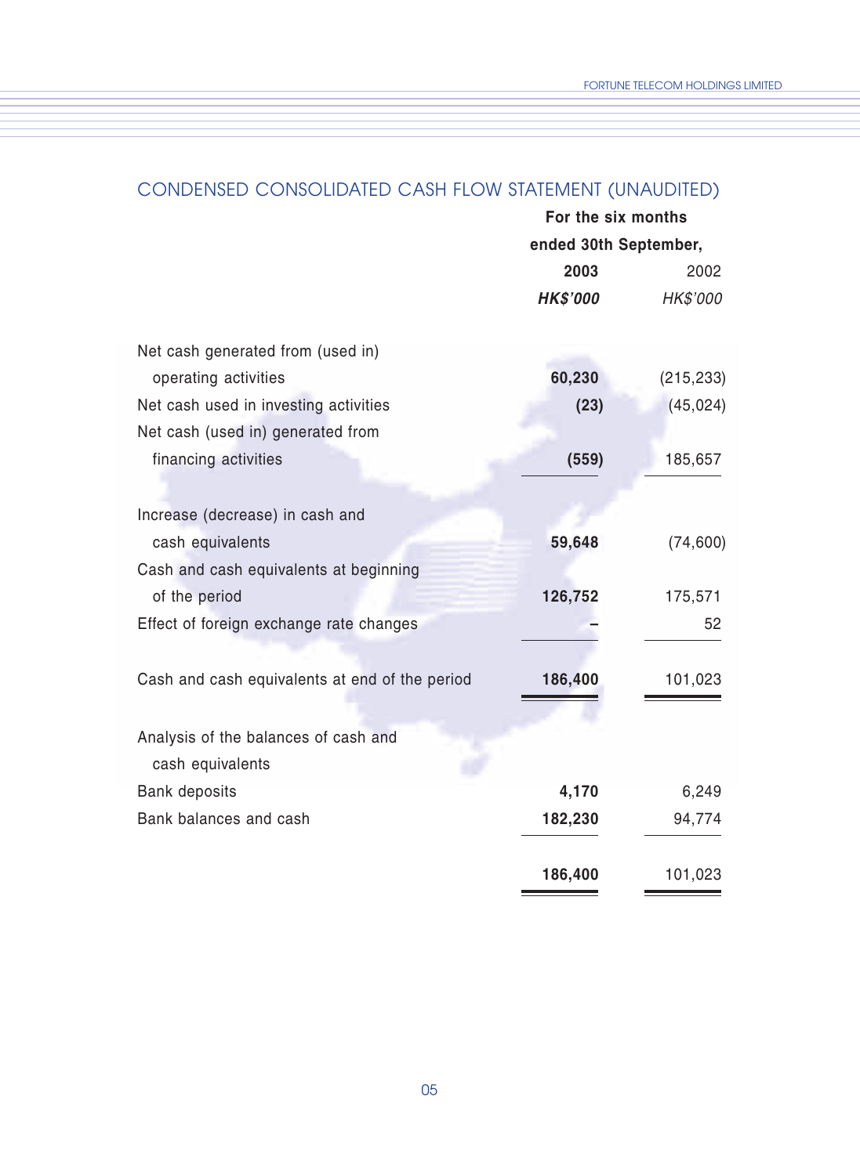## CONDENSED CONSOLIDATED CASH FLOW STATEMENT (UNAUDITED)

| For the six months    |            |  |  |
|-----------------------|------------|--|--|
| ended 30th September, |            |  |  |
| 2003                  | 2002       |  |  |
| <b>HK\$'000</b>       | HK\$'000   |  |  |
|                       |            |  |  |
| 60,230                | (215, 233) |  |  |
| (23)                  | (45, 024)  |  |  |
|                       |            |  |  |
| (559)                 | 185,657    |  |  |
|                       |            |  |  |
|                       |            |  |  |
| 59,648                | (74, 600)  |  |  |
|                       |            |  |  |
| 126,752               | 175,571    |  |  |
|                       | 52         |  |  |
|                       |            |  |  |
| 186,400               | 101,023    |  |  |
|                       |            |  |  |
|                       |            |  |  |
|                       |            |  |  |
| 4,170                 | 6,249      |  |  |
| 182,230               | 94,774     |  |  |
|                       |            |  |  |
| 186,400               | 101,023    |  |  |
|                       |            |  |  |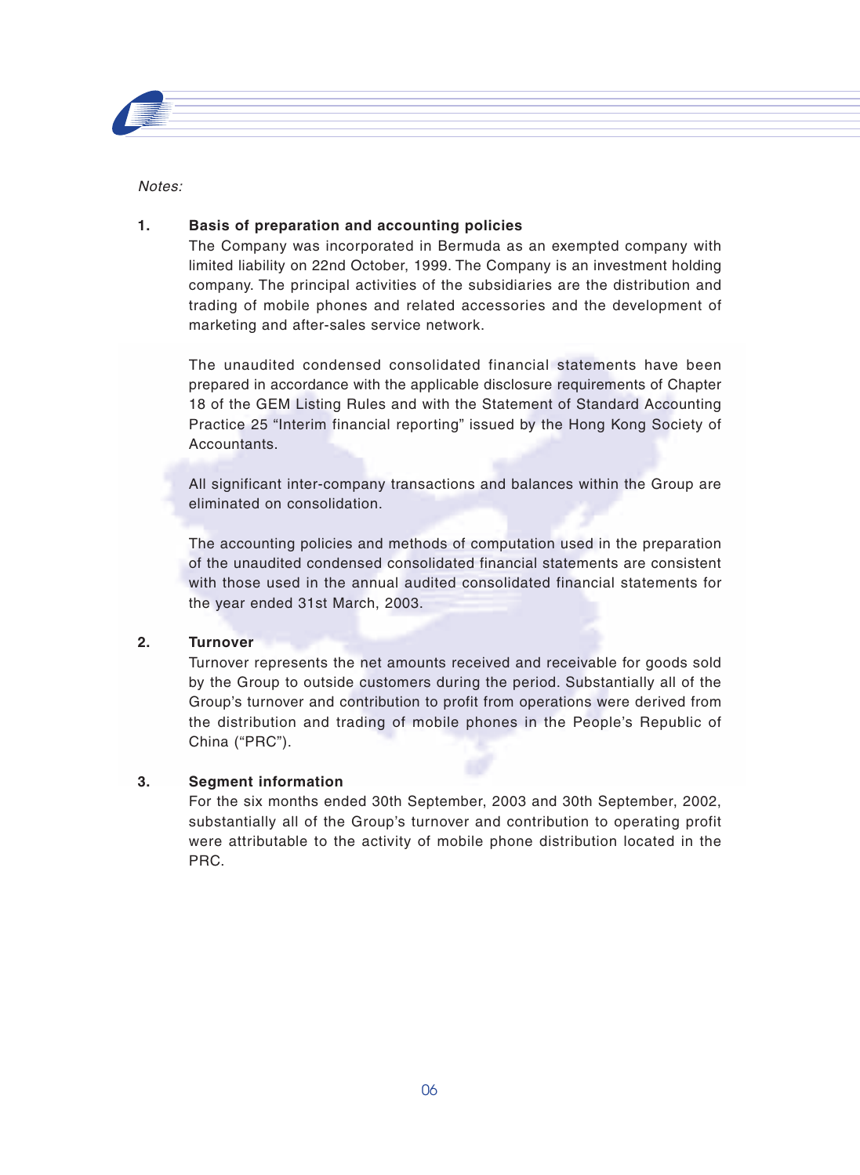

Notes:

#### **1. Basis of preparation and accounting policies**

The Company was incorporated in Bermuda as an exempted company with limited liability on 22nd October, 1999. The Company is an investment holding company. The principal activities of the subsidiaries are the distribution and trading of mobile phones and related accessories and the development of marketing and after-sales service network.

The unaudited condensed consolidated financial statements have been prepared in accordance with the applicable disclosure requirements of Chapter 18 of the GEM Listing Rules and with the Statement of Standard Accounting Practice 25 "Interim financial reporting" issued by the Hong Kong Society of Accountants.

All significant inter-company transactions and balances within the Group are eliminated on consolidation.

The accounting policies and methods of computation used in the preparation of the unaudited condensed consolidated financial statements are consistent with those used in the annual audited consolidated financial statements for the year ended 31st March, 2003.

#### **2. Turnover**

Turnover represents the net amounts received and receivable for goods sold by the Group to outside customers during the period. Substantially all of the Group's turnover and contribution to profit from operations were derived from the distribution and trading of mobile phones in the People's Republic of China ("PRC").

#### **3. Segment information**

For the six months ended 30th September, 2003 and 30th September, 2002, substantially all of the Group's turnover and contribution to operating profit were attributable to the activity of mobile phone distribution located in the PRC.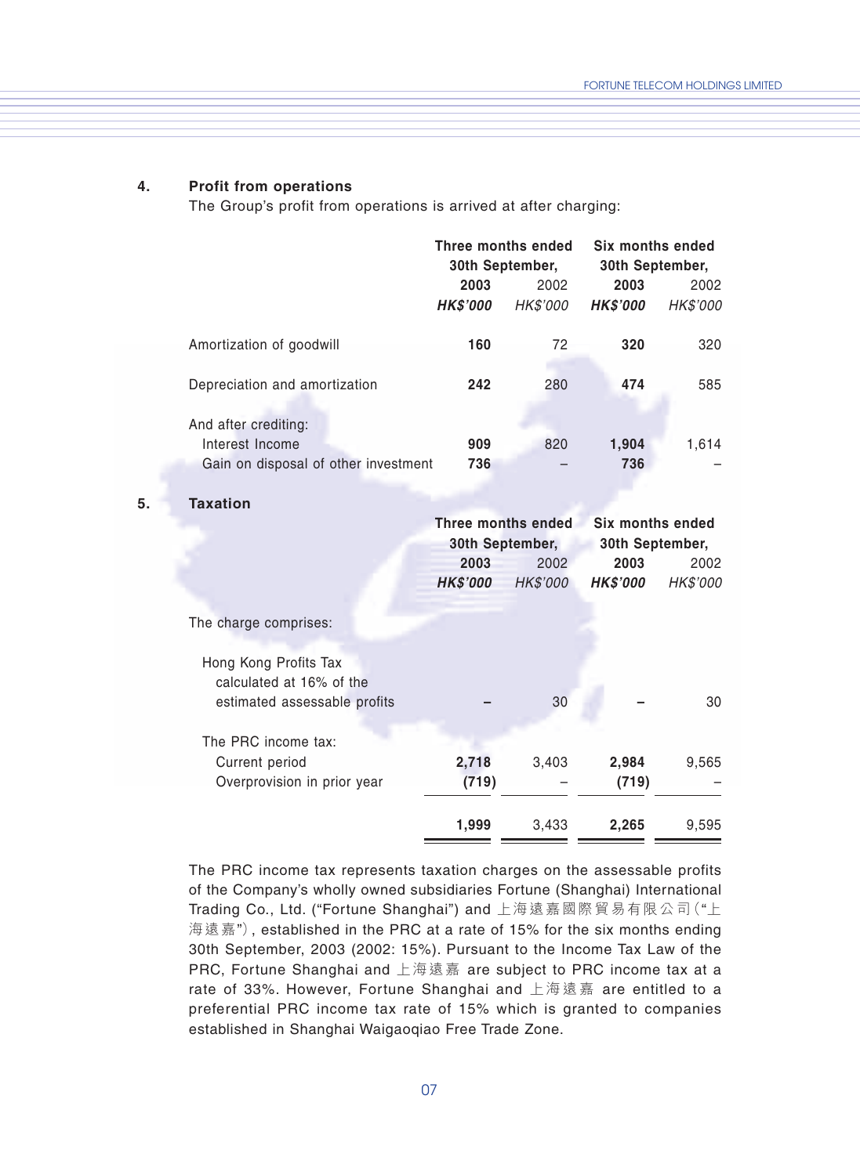#### **4. Profit from operations**

The Group's profit from operations is arrived at after charging:

|                                         | Three months ended |                 | Six months ended |                 |
|-----------------------------------------|--------------------|-----------------|------------------|-----------------|
|                                         |                    | 30th September, | 30th September,  |                 |
|                                         | 2003               | 2002            | 2003             | 2002            |
|                                         | <b>HK\$'000</b>    | <b>HK\$'000</b> | <b>HK\$'000</b>  | <b>HK\$'000</b> |
| Amortization of goodwill                | 160                | 72              | 320              | 320             |
| Depreciation and amortization           | 242                | 280             | 474              | 585             |
| And after crediting:<br>Interest Income | 909                | 820             | 1,904            | 1,614           |
| Gain on disposal of other investment    | 736                |                 | 736              |                 |

#### **5. Taxation**

|                                                   |                 | Three months ended | Six months ended |                 |
|---------------------------------------------------|-----------------|--------------------|------------------|-----------------|
|                                                   | 30th September, |                    | 30th September,  |                 |
|                                                   | 2003            | 2002               | 2003             | 2002            |
|                                                   | <b>HK\$'000</b> | HK\$'000           | <b>HK\$'000</b>  | <b>HK\$'000</b> |
|                                                   |                 |                    |                  |                 |
| The charge comprises:                             |                 |                    |                  |                 |
| Hong Kong Profits Tax<br>calculated at 16% of the |                 |                    |                  |                 |
| estimated assessable profits                      |                 | 30                 |                  | 30              |
| The PRC income tax:                               |                 |                    |                  |                 |
| Current period                                    | 2,718           | 3,403              | 2,984            | 9,565           |
| Overprovision in prior year                       | (719)           |                    | (719)            |                 |
|                                                   | 1,999           | 3,433              | 2,265            | 9,595           |
|                                                   |                 |                    |                  |                 |

The PRC income tax represents taxation charges on the assessable profits of the Company's wholly owned subsidiaries Fortune (Shanghai) International Trading Co., Ltd. ("Fortune Shanghai") and 上海遠嘉國際貿易有限公司("上 海遠嘉"), established in the PRC at a rate of 15% for the six months ending 30th September, 2003 (2002: 15%). Pursuant to the Income Tax Law of the PRC, Fortune Shanghai and 上海遠嘉 are subject to PRC income tax at a rate of 33%. However, Fortune Shanghai and 上海遠嘉 are entitled to a preferential PRC income tax rate of 15% which is granted to companies established in Shanghai Waigaoqiao Free Trade Zone.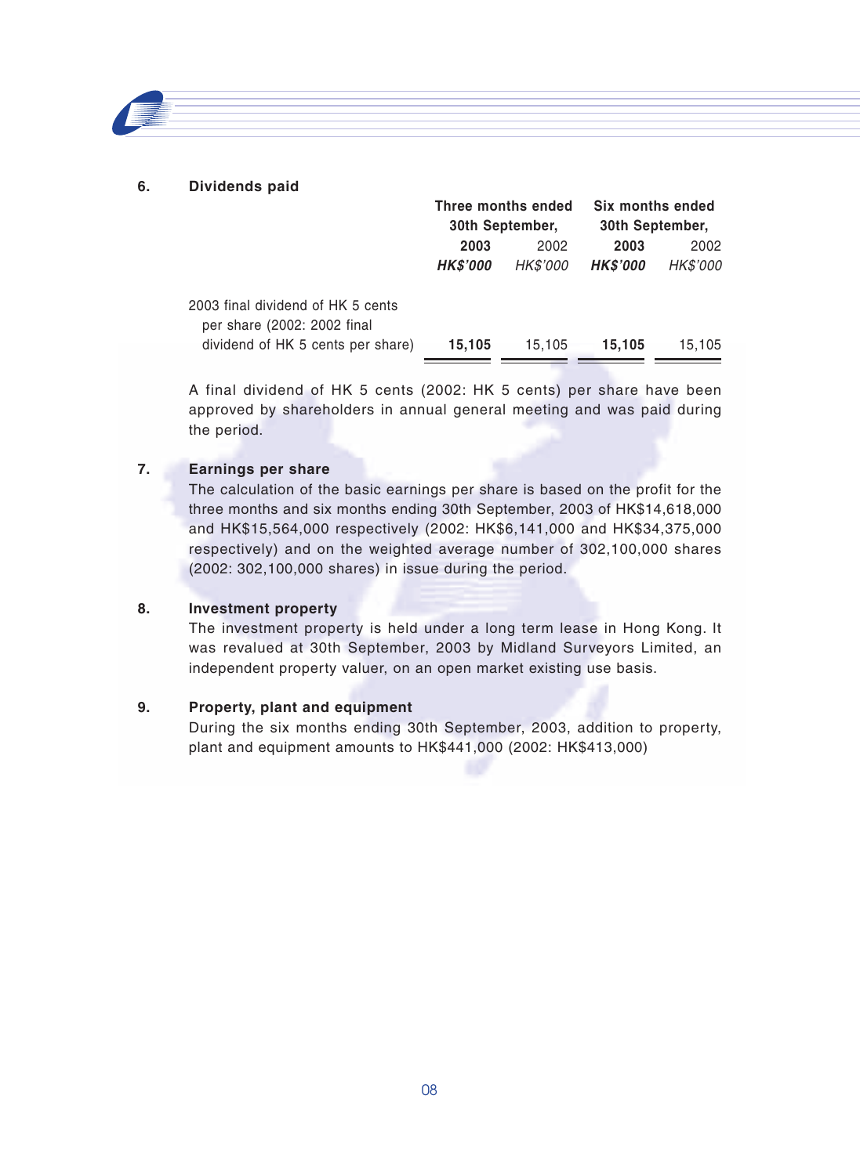#### **6. Dividends paid**

|                                                                  | Three months ended<br>30th September, |                 | Six months ended<br>30th September, |                 |
|------------------------------------------------------------------|---------------------------------------|-----------------|-------------------------------------|-----------------|
|                                                                  |                                       |                 |                                     |                 |
|                                                                  | 2002<br>2003                          |                 | 2003                                | 2002            |
|                                                                  | <b>HK\$'000</b>                       | <b>HK\$'000</b> | <b>HK\$'000</b>                     | <b>HK\$'000</b> |
| 2003 final dividend of HK 5 cents<br>per share (2002: 2002 final |                                       |                 |                                     |                 |
| dividend of HK 5 cents per share)                                | 15.105                                | 15.105          | 15.105                              | 15.105          |

A final dividend of HK 5 cents (2002: HK 5 cents) per share have been approved by shareholders in annual general meeting and was paid during the period.

#### **7. Earnings per share**

The calculation of the basic earnings per share is based on the profit for the three months and six months ending 30th September, 2003 of HK\$14,618,000 and HK\$15,564,000 respectively (2002: HK\$6,141,000 and HK\$34,375,000 respectively) and on the weighted average number of 302,100,000 shares (2002: 302,100,000 shares) in issue during the period.

#### **8. Investment property**

The investment property is held under a long term lease in Hong Kong. It was revalued at 30th September, 2003 by Midland Surveyors Limited, an independent property valuer, on an open market existing use basis.

#### **9. Property, plant and equipment**

During the six months ending 30th September, 2003, addition to property, plant and equipment amounts to HK\$441,000 (2002: HK\$413,000)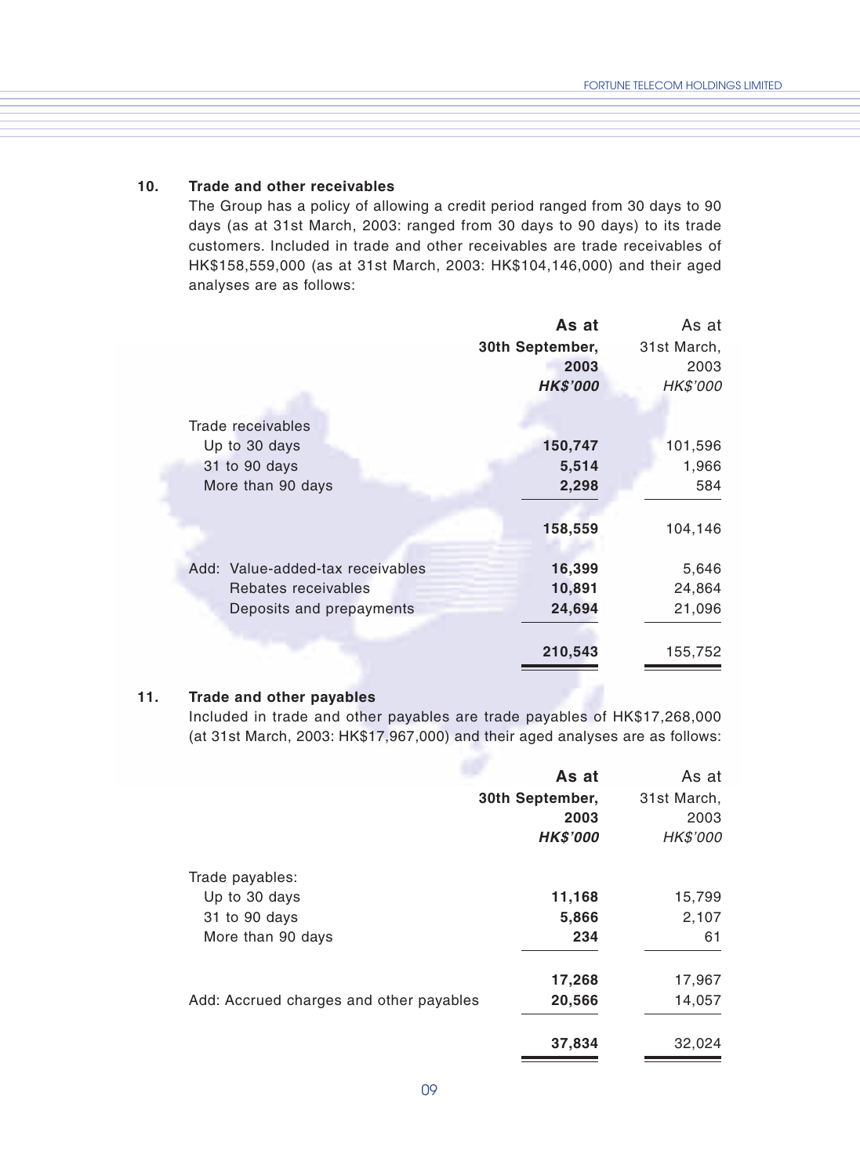#### **10. Trade and other receivables**

The Group has a policy of allowing a credit period ranged from 30 days to 90 days (as at 31st March, 2003: ranged from 30 days to 90 days) to its trade customers. Included in trade and other receivables are trade receivables of HK\$158,559,000 (as at 31st March, 2003: HK\$104,146,000) and their aged analyses are as follows:

|                                  | As at           | As at       |
|----------------------------------|-----------------|-------------|
|                                  | 30th September, | 31st March, |
|                                  | 2003            | 2003        |
|                                  | <b>HK\$'000</b> | HK\$'000    |
| Trade receivables                |                 |             |
| Up to 30 days                    | 150,747         | 101,596     |
| 31 to 90 days                    | 5,514           | 1,966       |
| More than 90 days                | 2,298           | 584         |
|                                  | 158,559         | 104,146     |
| Add: Value-added-tax receivables | 16,399          | 5,646       |
| Rebates receivables              | 10,891          | 24,864      |
| Deposits and prepayments         | 24,694          | 21,096      |
|                                  | 210,543         | 155,752     |
|                                  |                 |             |

#### **11. Trade and other payables**

Included in trade and other payables are trade payables of HK\$17,268,000 (at 31st March, 2003: HK\$17,967,000) and their aged analyses are as follows:

|                                         | As at           | As at           |
|-----------------------------------------|-----------------|-----------------|
|                                         | 30th September, | 31st March,     |
|                                         | 2003            | 2003            |
|                                         | <b>HK\$'000</b> | <b>HK\$'000</b> |
| Trade payables:                         |                 |                 |
| Up to 30 days                           | 11,168          | 15,799          |
| 31 to 90 days                           | 5,866           | 2,107           |
| More than 90 days                       | 234             | 61              |
|                                         | 17,268          | 17,967          |
| Add: Accrued charges and other payables | 20,566          | 14,057          |
|                                         | 37,834          | 32,024          |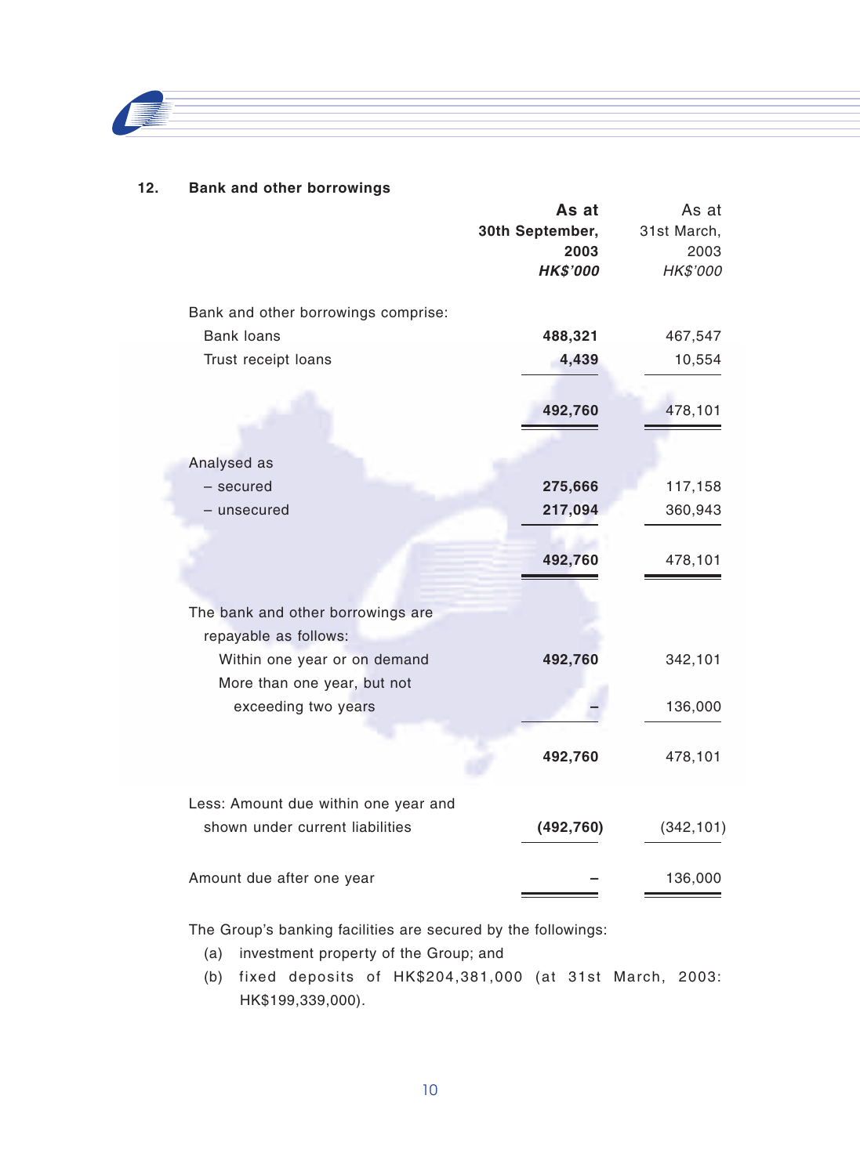

#### **12. Bank and other borrowings**

|                                                                                                                                                  | As at<br>30th September,<br>2003<br><b>HK\$'000</b> | As at<br>31st March,<br>2003<br>HK\$'000 |
|--------------------------------------------------------------------------------------------------------------------------------------------------|-----------------------------------------------------|------------------------------------------|
| Bank and other borrowings comprise:<br>Bank loans<br>Trust receipt loans                                                                         | 488,321<br>4,439<br>492,760                         | 467,547<br>10,554<br>478,101             |
| Analysed as<br>- secured<br>– unsecured                                                                                                          | 275,666<br>217,094<br>492,760                       | 117,158<br>360,943<br>478,101            |
| The bank and other borrowings are<br>repayable as follows:<br>Within one year or on demand<br>More than one year, but not<br>exceeding two years | 492,760                                             | 342,101<br>136,000                       |
| Less: Amount due within one year and                                                                                                             | 492,760                                             | 478,101                                  |
| shown under current liabilities<br>Amount due after one year                                                                                     | (492, 760)                                          | (342, 101)<br>136,000                    |

The Group's banking facilities are secured by the followings:

- (a) investment property of the Group; and
- (b) fixed deposits of HK\$204,381,000 (at 31st March, 2003: HK\$199,339,000).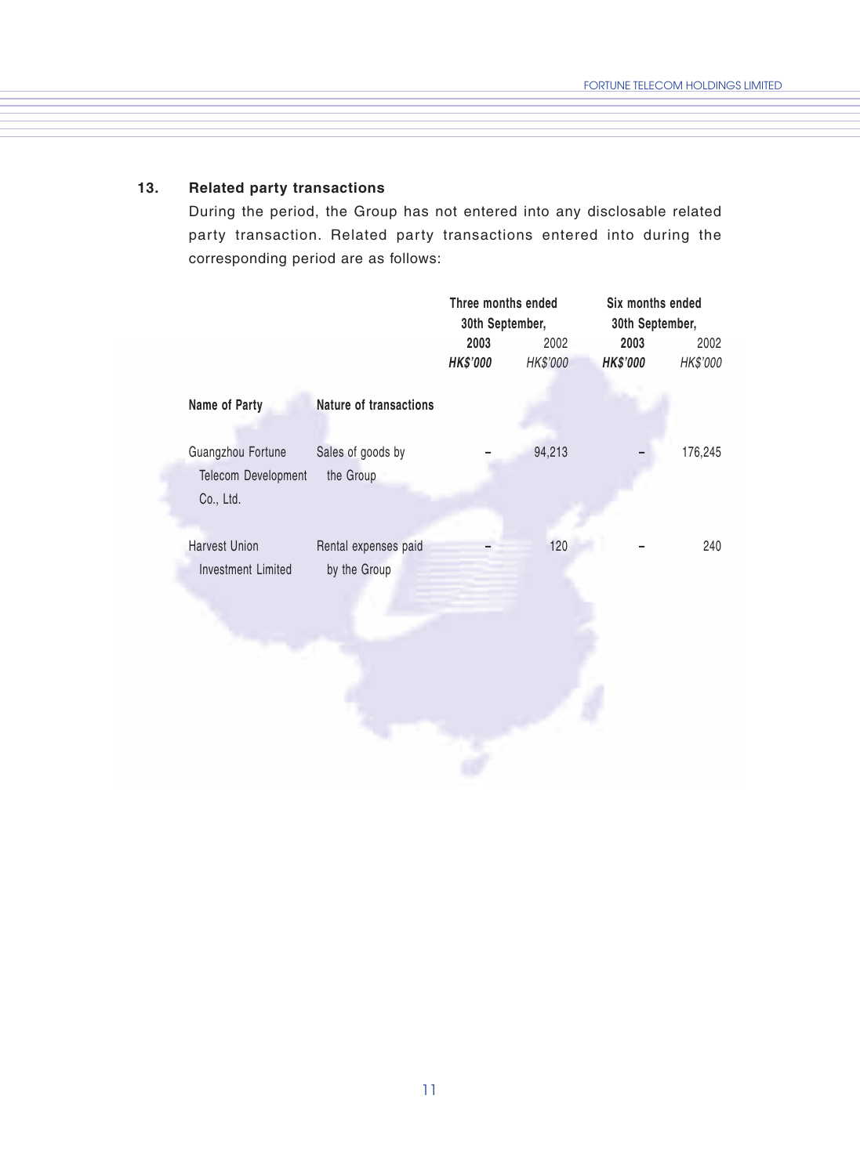### **13. Related party transactions**

During the period, the Group has not entered into any disclosable related party transaction. Related party transactions entered into during the corresponding period are as follows:

|                                                       |                                      | Three months ended<br>30th September, |                  | Six months ended<br>30th September, |                  |
|-------------------------------------------------------|--------------------------------------|---------------------------------------|------------------|-------------------------------------|------------------|
|                                                       |                                      | 2003<br><b>HK\$'000</b>               | 2002<br>HK\$'000 | 2003<br><b>HK\$'000</b>             | 2002<br>HK\$'000 |
| Name of Party                                         | Nature of transactions               |                                       |                  |                                     |                  |
| Guangzhou Fortune<br>Telecom Development<br>Co., Ltd. | Sales of goods by<br>the Group       |                                       | 94,213           |                                     | 176,245          |
| <b>Harvest Union</b><br><b>Investment Limited</b>     | Rental expenses paid<br>by the Group |                                       | 120              |                                     | 240              |
|                                                       |                                      |                                       |                  |                                     |                  |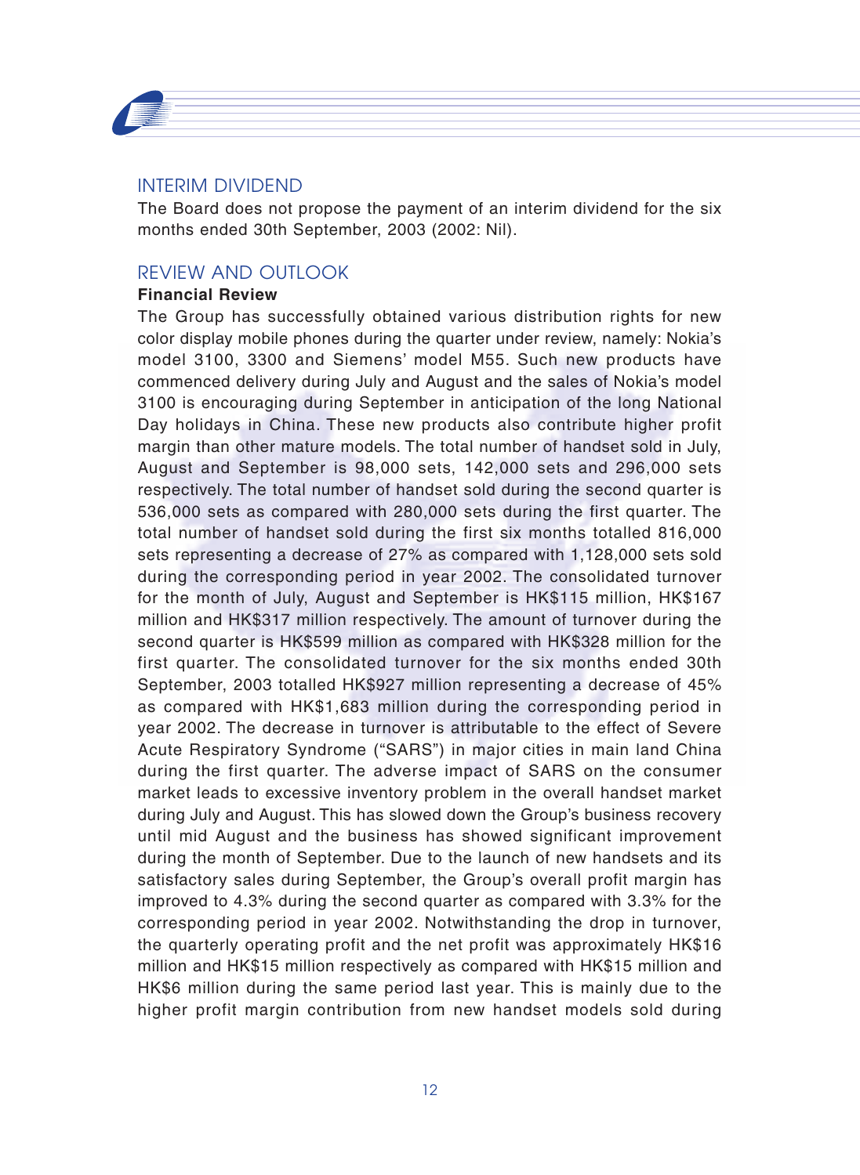

## INTERIM DIVIDEND

The Board does not propose the payment of an interim dividend for the six months ended 30th September, 2003 (2002: Nil).

## REVIEW AND OUTLOOK

### **Financial Review**

The Group has successfully obtained various distribution rights for new color display mobile phones during the quarter under review, namely: Nokia's model 3100, 3300 and Siemens' model M55. Such new products have commenced delivery during July and August and the sales of Nokia's model 3100 is encouraging during September in anticipation of the long National Day holidays in China. These new products also contribute higher profit margin than other mature models. The total number of handset sold in July, August and September is 98,000 sets, 142,000 sets and 296,000 sets respectively. The total number of handset sold during the second quarter is 536,000 sets as compared with 280,000 sets during the first quarter. The total number of handset sold during the first six months totalled 816,000 sets representing a decrease of 27% as compared with 1,128,000 sets sold during the corresponding period in year 2002. The consolidated turnover for the month of July, August and September is HK\$115 million, HK\$167 million and HK\$317 million respectively. The amount of turnover during the second quarter is HK\$599 million as compared with HK\$328 million for the first quarter. The consolidated turnover for the six months ended 30th September, 2003 totalled HK\$927 million representing a decrease of 45% as compared with HK\$1,683 million during the corresponding period in year 2002. The decrease in turnover is attributable to the effect of Severe Acute Respiratory Syndrome ("SARS") in major cities in main land China during the first quarter. The adverse impact of SARS on the consumer market leads to excessive inventory problem in the overall handset market during July and August. This has slowed down the Group's business recovery until mid August and the business has showed significant improvement during the month of September. Due to the launch of new handsets and its satisfactory sales during September, the Group's overall profit margin has improved to 4.3% during the second quarter as compared with 3.3% for the corresponding period in year 2002. Notwithstanding the drop in turnover, the quarterly operating profit and the net profit was approximately HK\$16 million and HK\$15 million respectively as compared with HK\$15 million and HK\$6 million during the same period last year. This is mainly due to the higher profit margin contribution from new handset models sold during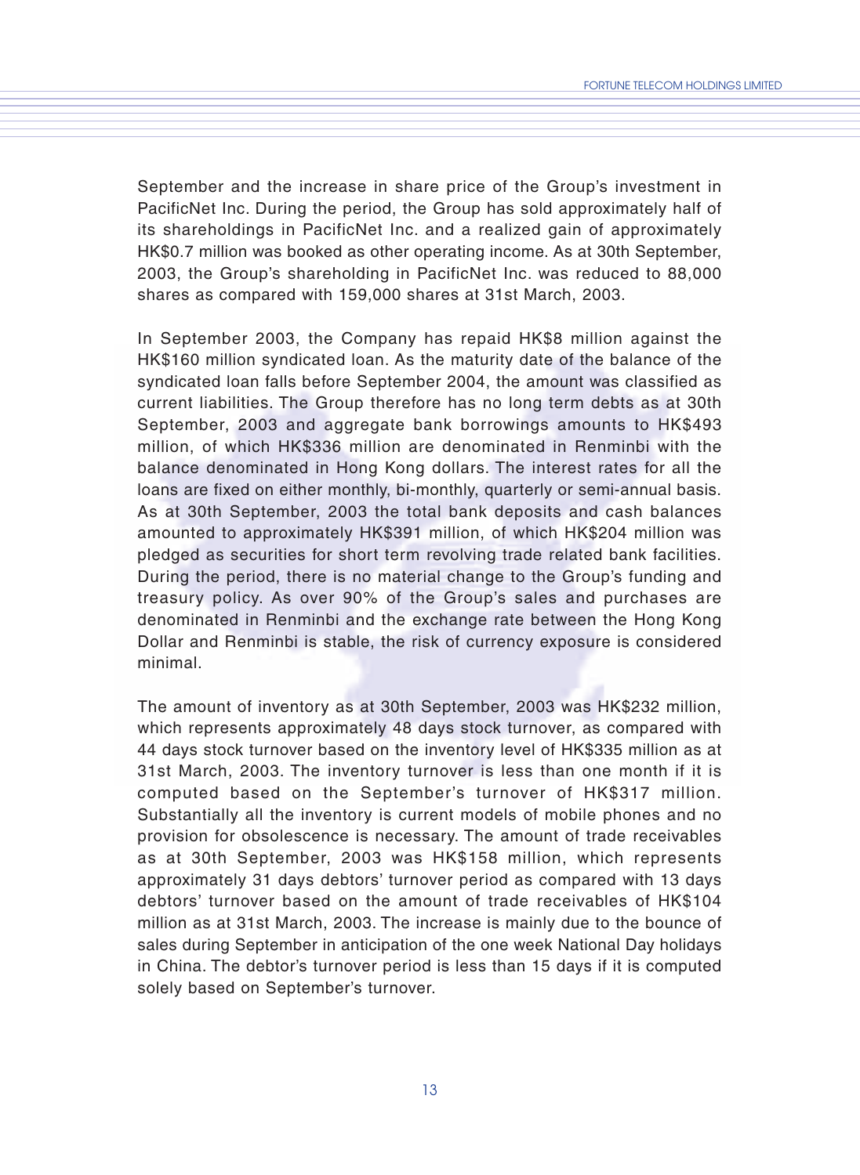September and the increase in share price of the Group's investment in PacificNet Inc. During the period, the Group has sold approximately half of its shareholdings in PacificNet Inc. and a realized gain of approximately HK\$0.7 million was booked as other operating income. As at 30th September, 2003, the Group's shareholding in PacificNet Inc. was reduced to 88,000 shares as compared with 159,000 shares at 31st March, 2003.

In September 2003, the Company has repaid HK\$8 million against the HK\$160 million syndicated loan. As the maturity date of the balance of the syndicated loan falls before September 2004, the amount was classified as current liabilities. The Group therefore has no long term debts as at 30th September, 2003 and aggregate bank borrowings amounts to HK\$493 million, of which HK\$336 million are denominated in Renminbi with the balance denominated in Hong Kong dollars. The interest rates for all the loans are fixed on either monthly, bi-monthly, quarterly or semi-annual basis. As at 30th September, 2003 the total bank deposits and cash balances amounted to approximately HK\$391 million, of which HK\$204 million was pledged as securities for short term revolving trade related bank facilities. During the period, there is no material change to the Group's funding and treasury policy. As over 90% of the Group's sales and purchases are denominated in Renminbi and the exchange rate between the Hong Kong Dollar and Renminbi is stable, the risk of currency exposure is considered minimal.

The amount of inventory as at 30th September, 2003 was HK\$232 million, which represents approximately 48 days stock turnover, as compared with 44 days stock turnover based on the inventory level of HK\$335 million as at 31st March, 2003. The inventory turnover is less than one month if it is computed based on the September's turnover of HK\$317 million. Substantially all the inventory is current models of mobile phones and no provision for obsolescence is necessary. The amount of trade receivables as at 30th September, 2003 was HK\$158 million, which represents approximately 31 days debtors' turnover period as compared with 13 days debtors' turnover based on the amount of trade receivables of HK\$104 million as at 31st March, 2003. The increase is mainly due to the bounce of sales during September in anticipation of the one week National Day holidays in China. The debtor's turnover period is less than 15 days if it is computed solely based on September's turnover.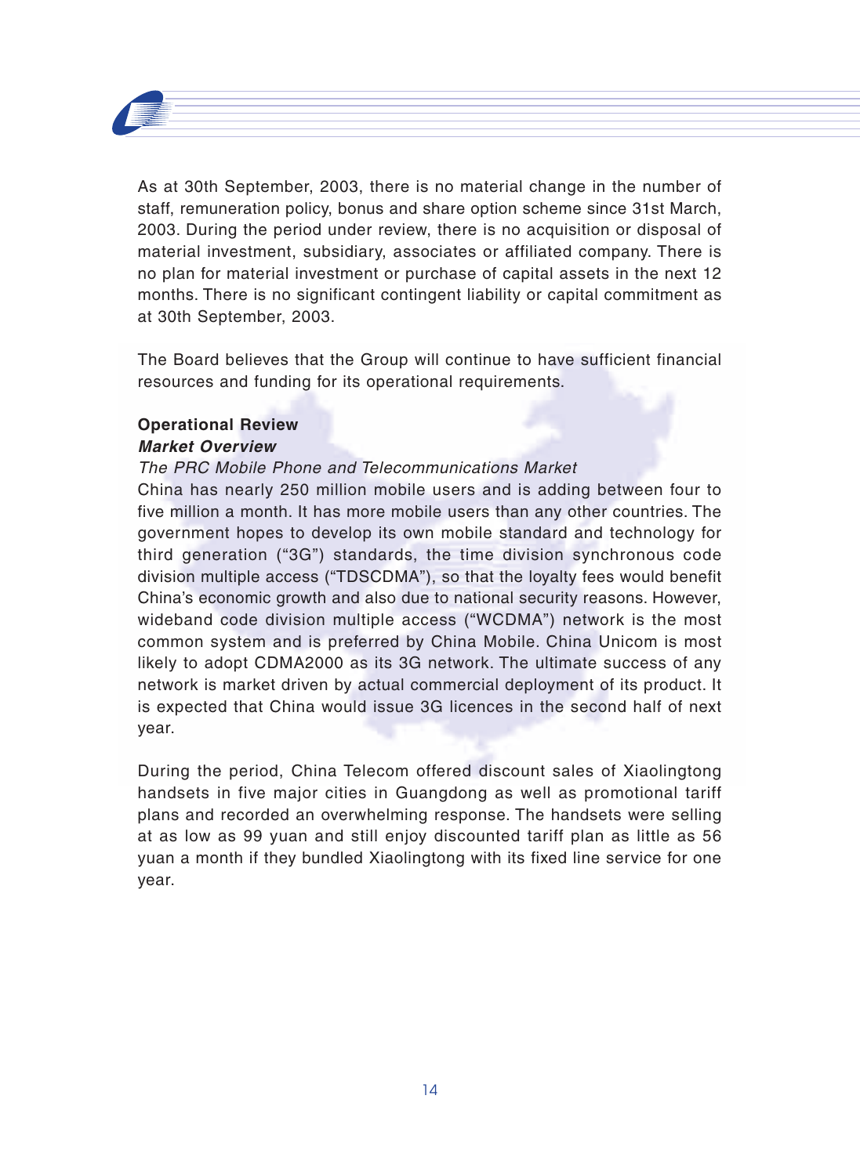

As at 30th September, 2003, there is no material change in the number of staff, remuneration policy, bonus and share option scheme since 31st March, 2003. During the period under review, there is no acquisition or disposal of material investment, subsidiary, associates or affiliated company. There is no plan for material investment or purchase of capital assets in the next 12 months. There is no significant contingent liability or capital commitment as at 30th September, 2003.

The Board believes that the Group will continue to have sufficient financial resources and funding for its operational requirements.

### **Operational Review Market Overview**

### The PRC Mobile Phone and Telecommunications Market

China has nearly 250 million mobile users and is adding between four to five million a month. It has more mobile users than any other countries. The government hopes to develop its own mobile standard and technology for third generation ("3G") standards, the time division synchronous code division multiple access ("TDSCDMA"), so that the loyalty fees would benefit China's economic growth and also due to national security reasons. However, wideband code division multiple access ("WCDMA") network is the most common system and is preferred by China Mobile. China Unicom is most likely to adopt CDMA2000 as its 3G network. The ultimate success of any network is market driven by actual commercial deployment of its product. It is expected that China would issue 3G licences in the second half of next year.

During the period, China Telecom offered discount sales of Xiaolingtong handsets in five major cities in Guangdong as well as promotional tariff plans and recorded an overwhelming response. The handsets were selling at as low as 99 yuan and still enjoy discounted tariff plan as little as 56 yuan a month if they bundled Xiaolingtong with its fixed line service for one year.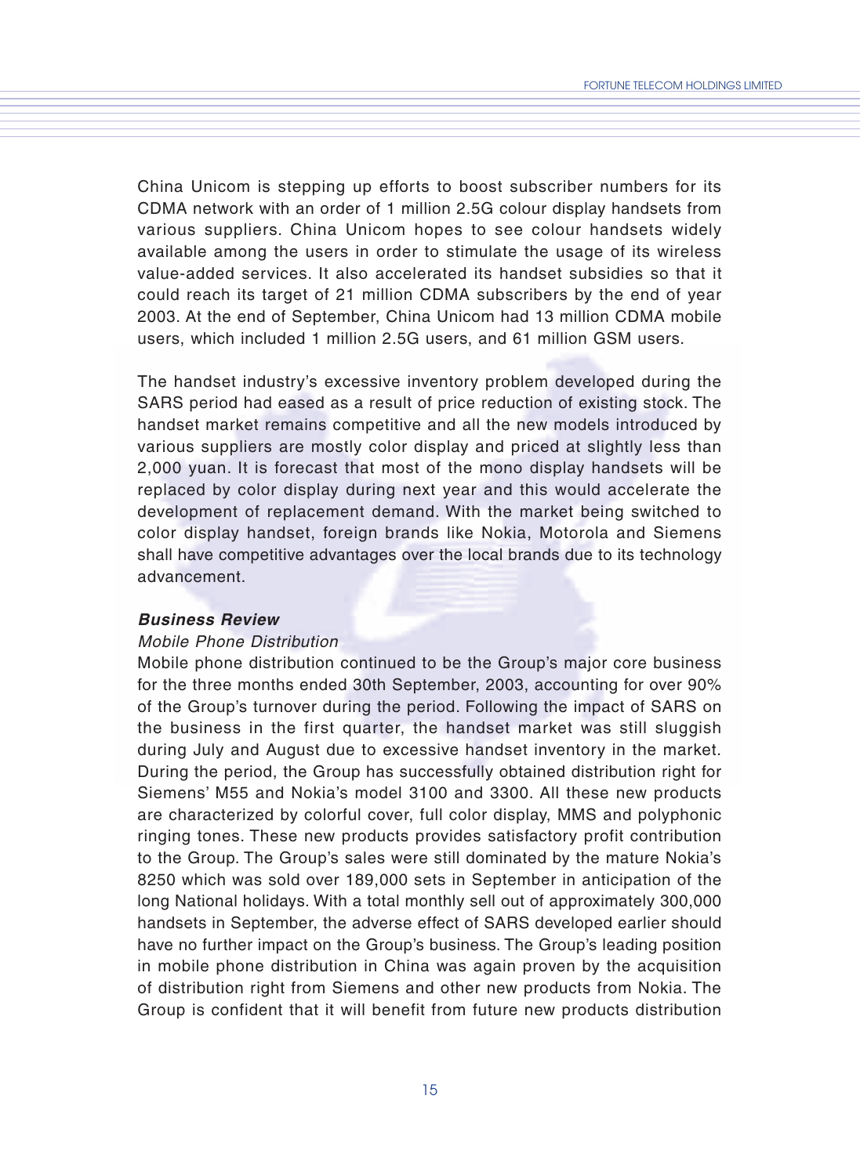China Unicom is stepping up efforts to boost subscriber numbers for its CDMA network with an order of 1 million 2.5G colour display handsets from various suppliers. China Unicom hopes to see colour handsets widely available among the users in order to stimulate the usage of its wireless value-added services. It also accelerated its handset subsidies so that it could reach its target of 21 million CDMA subscribers by the end of year 2003. At the end of September, China Unicom had 13 million CDMA mobile users, which included 1 million 2.5G users, and 61 million GSM users.

The handset industry's excessive inventory problem developed during the SARS period had eased as a result of price reduction of existing stock. The handset market remains competitive and all the new models introduced by various suppliers are mostly color display and priced at slightly less than 2,000 yuan. It is forecast that most of the mono display handsets will be replaced by color display during next year and this would accelerate the development of replacement demand. With the market being switched to color display handset, foreign brands like Nokia, Motorola and Siemens shall have competitive advantages over the local brands due to its technology advancement.

#### **Business Review**

#### Mobile Phone Distribution

Mobile phone distribution continued to be the Group's major core business for the three months ended 30th September, 2003, accounting for over 90% of the Group's turnover during the period. Following the impact of SARS on the business in the first quarter, the handset market was still sluggish during July and August due to excessive handset inventory in the market. During the period, the Group has successfully obtained distribution right for Siemens' M55 and Nokia's model 3100 and 3300. All these new products are characterized by colorful cover, full color display, MMS and polyphonic ringing tones. These new products provides satisfactory profit contribution to the Group. The Group's sales were still dominated by the mature Nokia's 8250 which was sold over 189,000 sets in September in anticipation of the long National holidays. With a total monthly sell out of approximately 300,000 handsets in September, the adverse effect of SARS developed earlier should have no further impact on the Group's business. The Group's leading position in mobile phone distribution in China was again proven by the acquisition of distribution right from Siemens and other new products from Nokia. The Group is confident that it will benefit from future new products distribution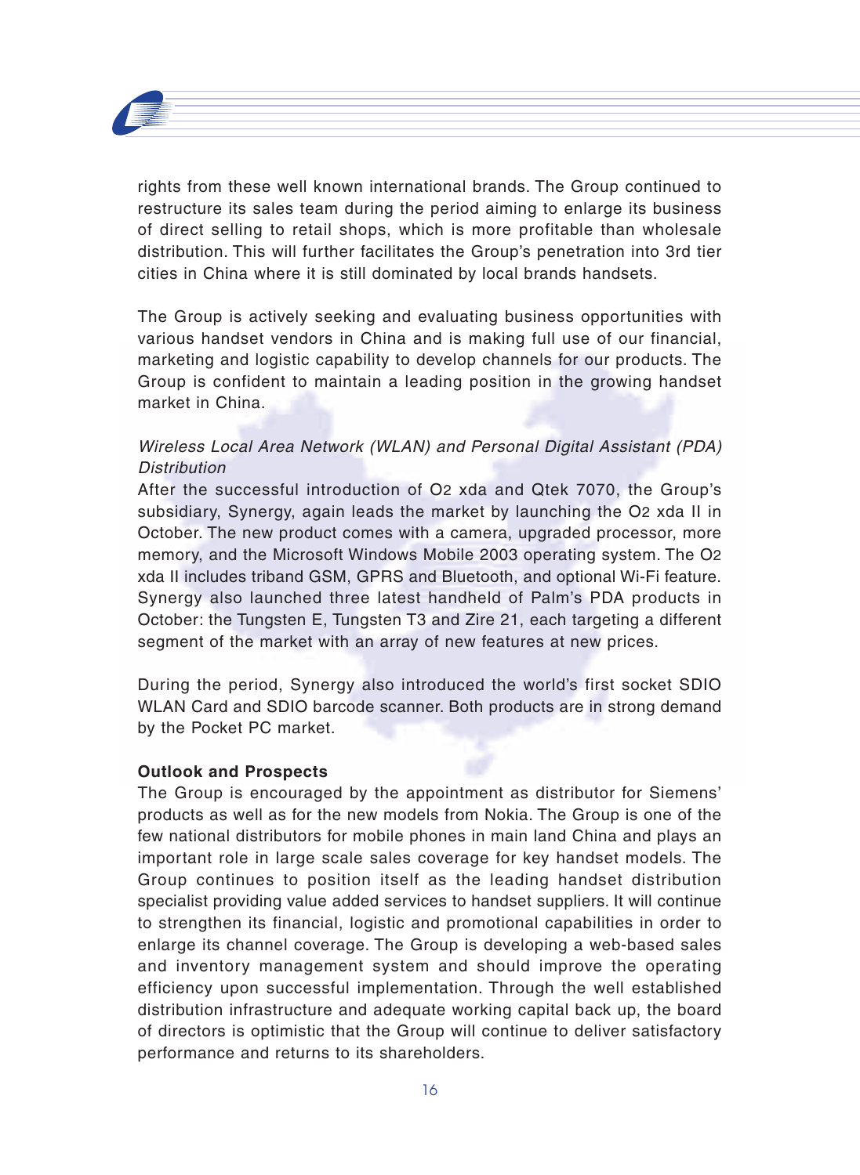

rights from these well known international brands. The Group continued to restructure its sales team during the period aiming to enlarge its business of direct selling to retail shops, which is more profitable than wholesale distribution. This will further facilitates the Group's penetration into 3rd tier cities in China where it is still dominated by local brands handsets.

The Group is actively seeking and evaluating business opportunities with various handset vendors in China and is making full use of our financial, marketing and logistic capability to develop channels for our products. The Group is confident to maintain a leading position in the growing handset market in China.

## Wireless Local Area Network (WLAN) and Personal Digital Assistant (PDA) **Distribution**

After the successful introduction of O2 xda and Qtek 7070, the Group's subsidiary, Synergy, again leads the market by launching the O2 xda II in October. The new product comes with a camera, upgraded processor, more memory, and the Microsoft Windows Mobile 2003 operating system. The O2 xda II includes triband GSM, GPRS and Bluetooth, and optional Wi-Fi feature. Synergy also launched three latest handheld of Palm's PDA products in October: the Tungsten E, Tungsten T3 and Zire 21, each targeting a different segment of the market with an array of new features at new prices.

During the period, Synergy also introduced the world's first socket SDIO WLAN Card and SDIO barcode scanner. Both products are in strong demand by the Pocket PC market.

### **Outlook and Prospects**

The Group is encouraged by the appointment as distributor for Siemens' products as well as for the new models from Nokia. The Group is one of the few national distributors for mobile phones in main land China and plays an important role in large scale sales coverage for key handset models. The Group continues to position itself as the leading handset distribution specialist providing value added services to handset suppliers. It will continue to strengthen its financial, logistic and promotional capabilities in order to enlarge its channel coverage. The Group is developing a web-based sales and inventory management system and should improve the operating efficiency upon successful implementation. Through the well established distribution infrastructure and adequate working capital back up, the board of directors is optimistic that the Group will continue to deliver satisfactory performance and returns to its shareholders.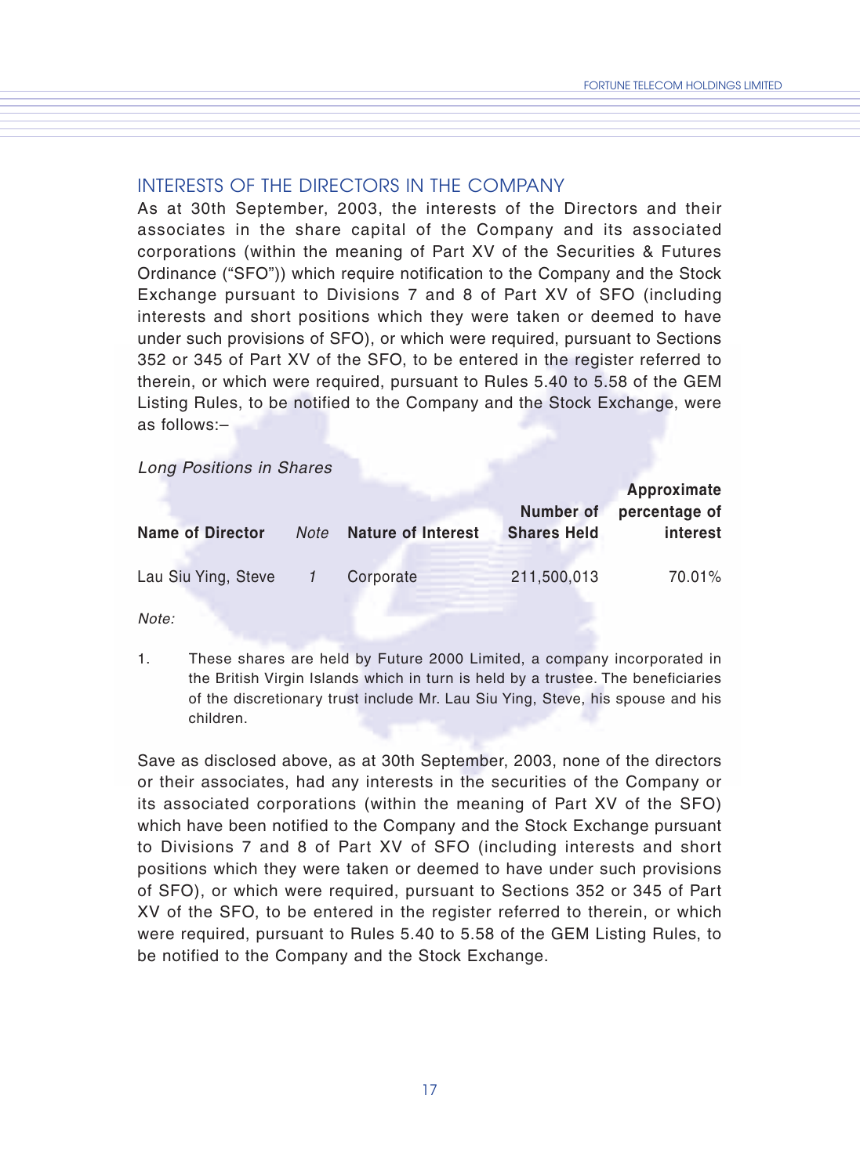### INTERESTS OF THE DIRECTORS IN THE COMPANY

As at 30th September, 2003, the interests of the Directors and their associates in the share capital of the Company and its associated corporations (within the meaning of Part XV of the Securities & Futures Ordinance ("SFO")) which require notification to the Company and the Stock Exchange pursuant to Divisions 7 and 8 of Part XV of SFO (including interests and short positions which they were taken or deemed to have under such provisions of SFO), or which were required, pursuant to Sections 352 or 345 of Part XV of the SFO, to be entered in the register referred to therein, or which were required, pursuant to Rules 5.40 to 5.58 of the GEM Listing Rules, to be notified to the Company and the Stock Exchange, were as follows:–

#### Long Positions in Shares

| <b>Name of Director</b> | Note | Nature of Interest | Number of<br><b>Shares Held</b> | Approximate<br>percentage of<br>interest |
|-------------------------|------|--------------------|---------------------------------|------------------------------------------|
| Lau Siu Ying, Steve     |      | Corporate          | 211,500,013                     | 70.01%                                   |

Note:

1. These shares are held by Future 2000 Limited, a company incorporated in the British Virgin Islands which in turn is held by a trustee. The beneficiaries of the discretionary trust include Mr. Lau Siu Ying, Steve, his spouse and his children.

Save as disclosed above, as at 30th September, 2003, none of the directors or their associates, had any interests in the securities of the Company or its associated corporations (within the meaning of Part XV of the SFO) which have been notified to the Company and the Stock Exchange pursuant to Divisions 7 and 8 of Part XV of SFO (including interests and short positions which they were taken or deemed to have under such provisions of SFO), or which were required, pursuant to Sections 352 or 345 of Part XV of the SFO, to be entered in the register referred to therein, or which were required, pursuant to Rules 5.40 to 5.58 of the GEM Listing Rules, to be notified to the Company and the Stock Exchange.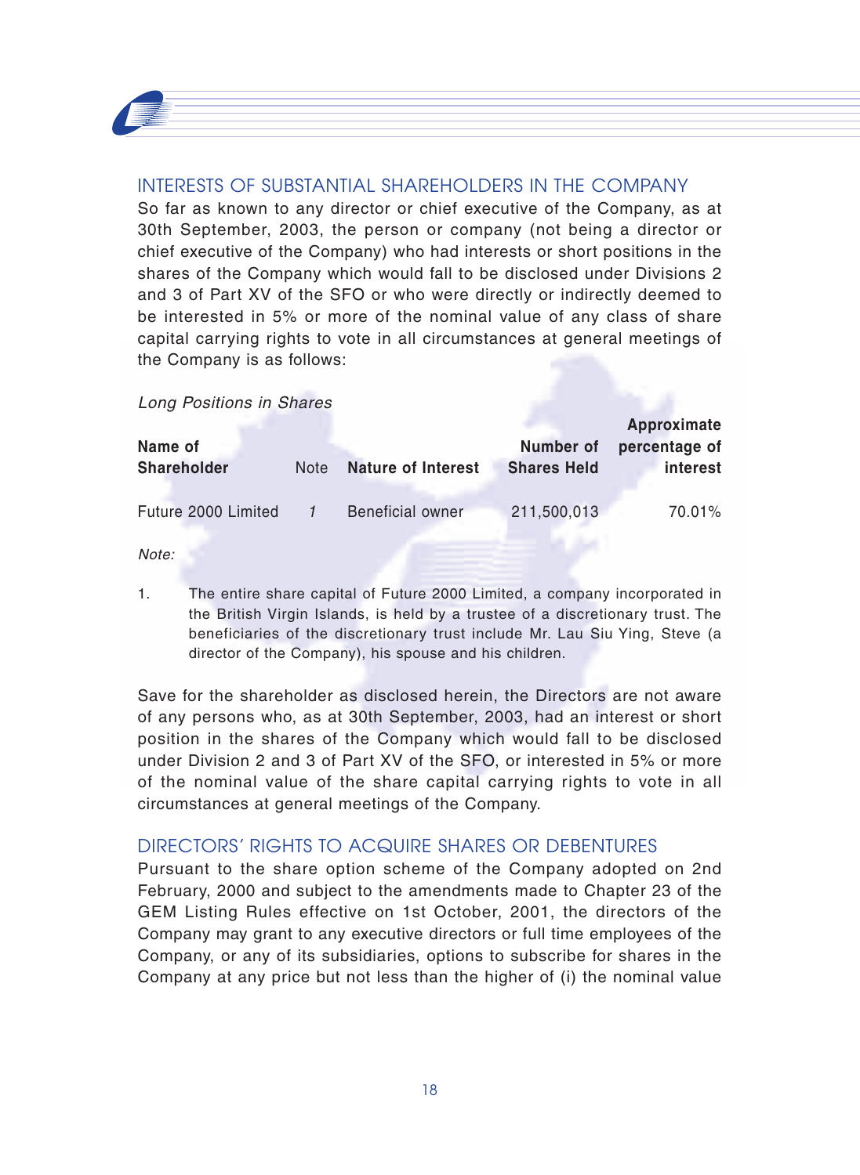

## INTERESTS OF SUBSTANTIAL SHAREHOLDERS IN THE COMPANY

So far as known to any director or chief executive of the Company, as at 30th September, 2003, the person or company (not being a director or chief executive of the Company) who had interests or short positions in the shares of the Company which would fall to be disclosed under Divisions 2 and 3 of Part XV of the SFO or who were directly or indirectly deemed to be interested in 5% or more of the nominal value of any class of share capital carrying rights to vote in all circumstances at general meetings of the Company is as follows:

Long Positions in Shares

| Name of             |             |                           | Number of          | Approximate<br>percentage of |
|---------------------|-------------|---------------------------|--------------------|------------------------------|
| <b>Shareholder</b>  | <b>Note</b> | <b>Nature of Interest</b> | <b>Shares Held</b> | interest                     |
| Future 2000 Limited |             | Beneficial owner          | 211.500.013        | 70.01%                       |

Note:

1. The entire share capital of Future 2000 Limited, a company incorporated in the British Virgin Islands, is held by a trustee of a discretionary trust. The beneficiaries of the discretionary trust include Mr. Lau Siu Ying, Steve (a director of the Company), his spouse and his children.

Save for the shareholder as disclosed herein, the Directors are not aware of any persons who, as at 30th September, 2003, had an interest or short position in the shares of the Company which would fall to be disclosed under Division 2 and 3 of Part XV of the SFO, or interested in 5% or more of the nominal value of the share capital carrying rights to vote in all circumstances at general meetings of the Company.

## DIRECTORS' RIGHTS TO ACQUIRE SHARES OR DEBENTURES

Pursuant to the share option scheme of the Company adopted on 2nd February, 2000 and subject to the amendments made to Chapter 23 of the GEM Listing Rules effective on 1st October, 2001, the directors of the Company may grant to any executive directors or full time employees of the Company, or any of its subsidiaries, options to subscribe for shares in the Company at any price but not less than the higher of (i) the nominal value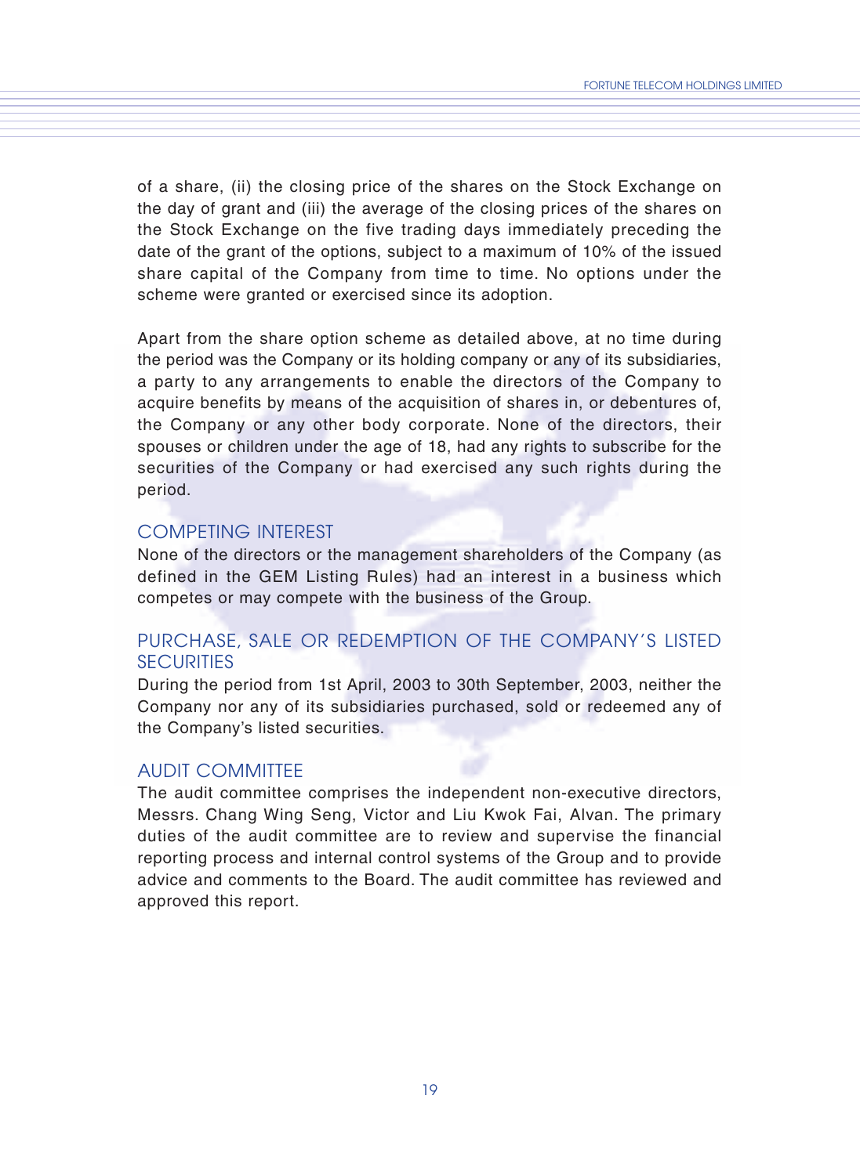of a share, (ii) the closing price of the shares on the Stock Exchange on the day of grant and (iii) the average of the closing prices of the shares on the Stock Exchange on the five trading days immediately preceding the date of the grant of the options, subject to a maximum of 10% of the issued share capital of the Company from time to time. No options under the scheme were granted or exercised since its adoption.

Apart from the share option scheme as detailed above, at no time during the period was the Company or its holding company or any of its subsidiaries, a party to any arrangements to enable the directors of the Company to acquire benefits by means of the acquisition of shares in, or debentures of, the Company or any other body corporate. None of the directors, their spouses or children under the age of 18, had any rights to subscribe for the securities of the Company or had exercised any such rights during the period.

### COMPETING INTEREST

None of the directors or the management shareholders of the Company (as defined in the GEM Listing Rules) had an interest in a business which competes or may compete with the business of the Group.

## PURCHASE, SALE OR REDEMPTION OF THE COMPANY'S LISTED **SECURITIES**

During the period from 1st April, 2003 to 30th September, 2003, neither the Company nor any of its subsidiaries purchased, sold or redeemed any of the Company's listed securities.

### AUDIT COMMITTEE

The audit committee comprises the independent non-executive directors, Messrs. Chang Wing Seng, Victor and Liu Kwok Fai, Alvan. The primary duties of the audit committee are to review and supervise the financial reporting process and internal control systems of the Group and to provide advice and comments to the Board. The audit committee has reviewed and approved this report.